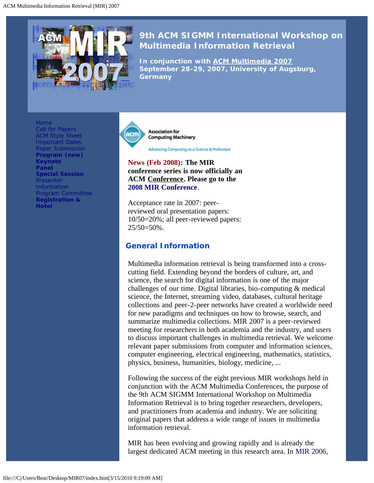<span id="page-0-0"></span>

*In conjunction with [ACM Multimedia 2007](javascript:if(confirm() September 28-29, 2007, University of Augsburg, Germany*

[Home](#page-2-0) [Call for Papers](#page-4-0) [ACM Style Sheet](javascript:if(confirm() [Important Dates](#page-7-0) [Paper Submission](#page-8-0) **[Program \(new\)](#page-9-0) [Keynote](#page-14-0) [Panel](#page-17-0) [Special Session](#page-19-0)** [Presenter](#page-24-0) [Information](#page-24-0) [Program Committee](#page-25-0) **[Registration &](#page-27-0) [Hotel](#page-27-0)**



**Association for Computing Machinery** 

Advancing Computing as a Science & Profession

#### **News (Feb 2008): The MIR conference series is now officially an ACM Conference. Please go to the [2008 MIR Conference](javascript:if(confirm()**.

Acceptance rate in 2007: peerreviewed oral presentation papers: 10/50=20%; all peer-reviewed papers:  $25/50=50\%$ .

# **General Information**

Multimedia information retrieval is being transformed into a crosscutting field. Extending beyond the borders of culture, art, and science, the search for digital information is one of the major challenges of our time. Digital libraries, bio-computing & medical science, the Internet, streaming video, databases, cultural heritage collections and peer-2-peer networks have created a worldwide need for new paradigms and techniques on how to browse, search, and summarize multimedia collections. MIR 2007 is a peer-reviewed meeting for researchers in both academia and the industry, and users to discuss important challenges in multimedia retrieval. We welcome relevant paper submissions from computer and information sciences, computer engineering, electrical engineering, mathematics, statistics, physics, business, humanities, biology, medicine, ...

Following the success of the eight previous MIR workshops held in conjunction with the ACM Multimedia Conferences, the purpose of the 9th ACM SIGMM International Workshop on Multimedia Information Retrieval is to bring together researchers, developers, and practitioners from academia and industry. We are soliciting original papers that address a wide range of issues in multimedia information retrieval.

MIR has been evolving and growing rapidly and is already the largest dedicated ACM meeting in this research area. In [MIR 2006](javascript:if(confirm(),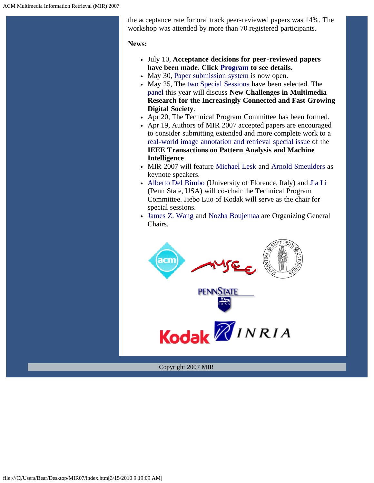the acceptance rate for oral track peer-reviewed papers was 14%. The workshop was attended by more than 70 registered participants.

**News:**

- July 10, **Acceptance decisions for peer-reviewed papers have been made. Click [Program](#page-9-0) to see details.**
- May 30, [Paper submission system](#page-8-0) is now open.
- May 25, The [two Special Sessions](#page-19-0) have been selected. The [panel](#page-17-0) this year will discuss **New Challenges in Multimedia Research for the Increasingly Connected and Fast Growing Digital Society**.
- Apr 20, The Technical Program Committee has been formed.
- Apr 19, Authors of MIR 2007 accepted papers are encouraged to consider submitting extended and more complete work to a [real-world image annotation and retrieval special issue o](javascript:if(confirm()f the **IEEE Transactions on Pattern Analysis and Machine Intelligence**.
- MIR 2007 will feature [Michael Lesk](javascript:if(confirm() and [Arnold Smeulders](javascript:if(confirm() as keynote speakers.
- [Alberto Del Bimbo](javascript:if(confirm() (University of Florence, Italy) and [Jia Li](javascript:if(confirm() (Penn State, USA) will co-chair the Technical Program Committee. Jiebo Luo of Kodak will serve as the chair for special sessions.
- [James Z. Wang](javascript:if(confirm() and Nozha Boujemaa are Organizing General Chairs.

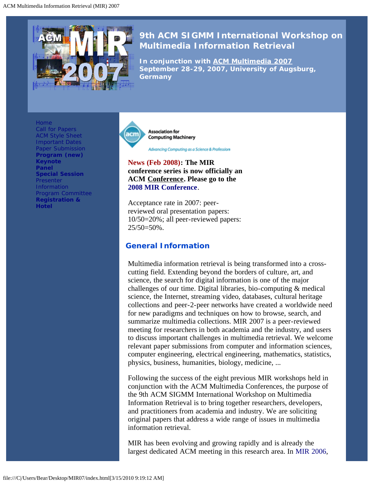<span id="page-2-0"></span>

*In conjunction with [ACM Multimedia 2007](javascript:if(confirm() September 28-29, 2007, University of Augsburg, Germany*

[Home](#page-2-0) [Call for Papers](#page-4-0) [ACM Style Sheet](javascript:if(confirm() [Important Dates](#page-7-0) [Paper Submission](#page-8-0) **[Program \(new\)](#page-9-0) [Keynote](#page-14-0) [Panel](#page-17-0) [Special Session](#page-19-0)** [Presenter](#page-24-0) [Information](#page-24-0) [Program Committee](#page-25-0) **[Registration &](#page-27-0) [Hotel](#page-27-0)**



**Association for Computing Machinery** 

Advancing Computing as a Science & Profession

#### **News (Feb 2008): The MIR conference series is now officially an ACM Conference. Please go to the [2008 MIR Conference](javascript:if(confirm()**.

Acceptance rate in 2007: peerreviewed oral presentation papers: 10/50=20%; all peer-reviewed papers:  $25/50=50\%$ .

# **General Information**

Multimedia information retrieval is being transformed into a crosscutting field. Extending beyond the borders of culture, art, and science, the search for digital information is one of the major challenges of our time. Digital libraries, bio-computing & medical science, the Internet, streaming video, databases, cultural heritage collections and peer-2-peer networks have created a worldwide need for new paradigms and techniques on how to browse, search, and summarize multimedia collections. MIR 2007 is a peer-reviewed meeting for researchers in both academia and the industry, and users to discuss important challenges in multimedia retrieval. We welcome relevant paper submissions from computer and information sciences, computer engineering, electrical engineering, mathematics, statistics, physics, business, humanities, biology, medicine, ...

Following the success of the eight previous MIR workshops held in conjunction with the ACM Multimedia Conferences, the purpose of the 9th ACM SIGMM International Workshop on Multimedia Information Retrieval is to bring together researchers, developers, and practitioners from academia and industry. We are soliciting original papers that address a wide range of issues in multimedia information retrieval.

MIR has been evolving and growing rapidly and is already the largest dedicated ACM meeting in this research area. In [MIR 2006](javascript:if(confirm(),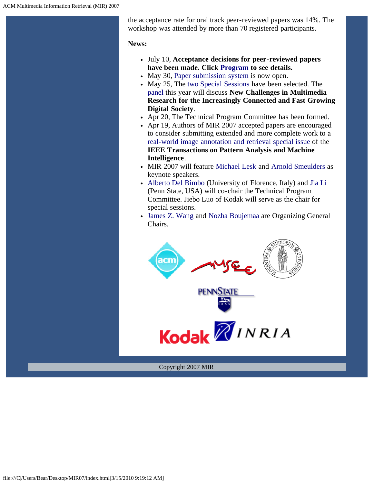the acceptance rate for oral track peer-reviewed papers was 14%. The workshop was attended by more than 70 registered participants.

**News:**

- July 10, **Acceptance decisions for peer-reviewed papers have been made. Click [Program](#page-9-0) to see details.**
- May 30, [Paper submission system](#page-8-0) is now open.
- May 25, The [two Special Sessions](#page-19-0) have been selected. The [panel](#page-17-0) this year will discuss **New Challenges in Multimedia Research for the Increasingly Connected and Fast Growing Digital Society**.
- Apr 20, The Technical Program Committee has been formed.
- Apr 19, Authors of MIR 2007 accepted papers are encouraged to consider submitting extended and more complete work to a [real-world image annotation and retrieval special issue o](javascript:if(confirm()f the **IEEE Transactions on Pattern Analysis and Machine Intelligence**.
- MIR 2007 will feature [Michael Lesk](javascript:if(confirm() and [Arnold Smeulders](javascript:if(confirm() as keynote speakers.
- [Alberto Del Bimbo](javascript:if(confirm() (University of Florence, Italy) and [Jia Li](javascript:if(confirm() (Penn State, USA) will co-chair the Technical Program Committee. Jiebo Luo of Kodak will serve as the chair for special sessions.
- [James Z. Wang](javascript:if(confirm() and Nozha Boujemaa are Organizing General Chairs.

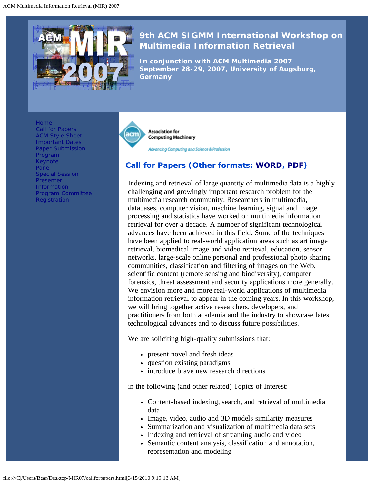<span id="page-4-0"></span>

*In conjunction with [ACM Multimedia 2007](javascript:if(confirm() September 28-29, 2007, University of Augsburg, Germany*

[Home](#page-2-0) [Call for Papers](#page-4-0) [ACM Style Sheet](javascript:if(confirm() [Important Dates](#page-7-0) [Paper Submission](#page-8-0) [Program](#page-9-0) [Keynote](#page-14-0) [Panel](#page-17-0) [Special Session](#page-19-0) **[Presenter](#page-24-0)** [Information](#page-24-0) [Program Committee](#page-25-0) **[Registration](#page-27-0)** 



**Association for Computing Machinery** 

Advancing Computing as a Science & Profession

## **Call for Papers (Other formats: [WORD,](#page-28-0) [PDF\)](#page-33-0)**

Indexing and retrieval of large quantity of multimedia data is a highly challenging and growingly important research problem for the multimedia research community. Researchers in multimedia, databases, computer vision, machine learning, signal and image processing and statistics have worked on multimedia information retrieval for over a decade. A number of significant technological advances have been achieved in this field. Some of the techniques have been applied to real-world application areas such as art image retrieval, biomedical image and video retrieval, education, sensor networks, large-scale online personal and professional photo sharing communities, classification and filtering of images on the Web, scientific content (remote sensing and biodiversity), computer forensics, threat assessment and security applications more generally. We envision more and more real-world applications of multimedia information retrieval to appear in the coming years. In this workshop, we will bring together active researchers, developers, and practitioners from both academia and the industry to showcase latest technological advances and to discuss future possibilities.

We are soliciting high-quality submissions that:

- present novel and fresh ideas
- question existing paradigms
- introduce brave new research directions

in the following (and other related) Topics of Interest:

- Content-based indexing, search, and retrieval of multimedia data
- Image, video, audio and 3D models similarity measures
- Summarization and visualization of multimedia data sets
- Indexing and retrieval of streaming audio and video
- Semantic content analysis, classification and annotation, representation and modeling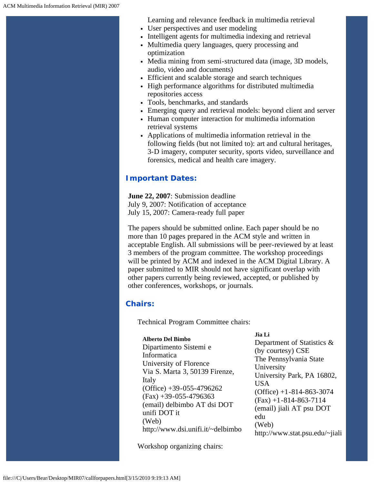Learning and relevance feedback in multimedia retrieval

- User perspectives and user modeling
- Intelligent agents for multimedia indexing and retrieval
- Multimedia query languages, query processing and optimization
- Media mining from semi-structured data (image, 3D models, audio, video and documents)
- Efficient and scalable storage and search techniques
- High performance algorithms for distributed multimedia repositories access
- Tools, benchmarks, and standards
- Emerging query and retrieval models: beyond client and server
- Human computer interaction for multimedia information retrieval systems
- Applications of multimedia information retrieval in the following fields (but not limited to): art and cultural heritages, 3-D imagery, computer security, sports video, surveillance and forensics, medical and health care imagery.

## **Important Dates:**

**June 22, 2007**: Submission deadline July 9, 2007: Notification of acceptance July 15, 2007: Camera-ready full paper

The papers should be submitted online. Each paper should be no more than 10 pages prepared in the ACM style and written in acceptable English. All submissions will be peer-reviewed by at least 3 members of the program committee. The workshop proceedings will be printed by ACM and indexed in the ACM Digital Library. A paper submitted to MIR should not have significant overlap with other papers currently being reviewed, accepted, or published by other conferences, workshops, or journals.

#### **Chairs:**

Technical Program Committee chairs:

#### **Alberto Del Bimbo**

Dipartimento Sistemi e Informatica University of Florence Via S. Marta 3, 50139 Firenze, Italy  $(Office) + 39 - 055 - 4796262$  $(Fax) +39-055-4796363$ (email) delbimbo AT dsi DOT unifi DOT it (Web) http://www.dsi.unifi.it/~delbimbo

Workshop organizing chairs:

**Jia Li** Department of Statistics & (by courtesy) CSE The Pennsylvania State University University Park, PA 16802, USA (Office) +1-814-863-3074  $(Fax) + 1 - 814 - 863 - 7114$ (email) jiali AT psu DOT edu (Web) http://www.stat.psu.edu/~jiali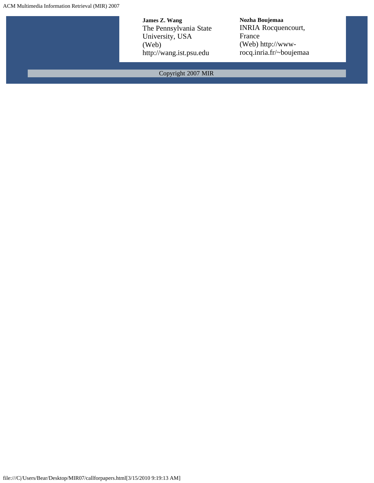**James Z. Wang** The Pennsylvania State University, USA (Web) http://wang.ist.psu.edu

**Nozha Boujemaa** INRIA Rocquencourt, France (Web) http://wwwrocq.inria.fr/~boujemaa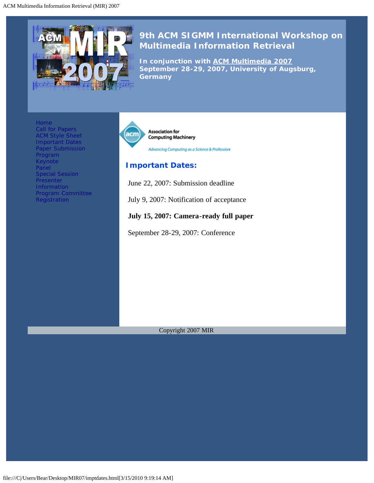<span id="page-7-0"></span>

*In conjunction with [ACM Multimedia 2007](javascript:if(confirm() September 28-29, 2007, University of Augsburg, Germany*

[Home](#page-2-0) [Call for Papers](#page-4-0) [ACM Style Sheet](javascript:if(confirm() [Important Dates](#page-7-0) [Paper Submission](#page-8-0) [Program](#page-9-0) [Keynote](#page-14-0) **[Panel](#page-17-0)** [Special Session](#page-19-0) [Presenter](#page-24-0) [Information](#page-24-0) [Program Committee](#page-25-0) **[Registration](#page-27-0)** 



**Association for Computing Machinery** 

Advancing Computing as a Science & Profession

## **Important Dates:**

June 22, 2007: Submission deadline

July 9, 2007: Notification of acceptance

## **July 15, 2007: Camera-ready full paper**

September 28-29, 2007: Conference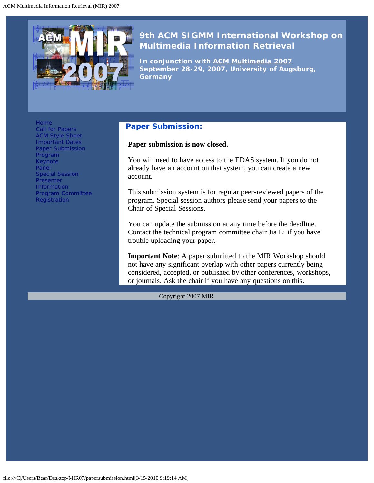<span id="page-8-0"></span>

*In conjunction with [ACM Multimedia 2007](javascript:if(confirm() September 28-29, 2007, University of Augsburg, Germany*

[Home](#page-2-0) [Call for Papers](#page-4-0) [ACM Style Sheet](javascript:if(confirm() [Important Dates](#page-7-0) [Paper Submission](#page-8-0) [Program](#page-9-0) [Keynote](#page-14-0) [Panel](#page-17-0) [Special Session](#page-19-0) [Presenter](#page-24-0) [Information](#page-24-0) [Program Committee](#page-25-0) **[Registration](#page-27-0)** 

## **Paper Submission:**

#### **Paper submission is now closed.**

You will need to have access to the EDAS system. If you do not already have an account on that system, you can create a new account.

This submission system is for regular peer-reviewed papers of the program. Special session authors please send your papers to the Chair of Special Sessions.

You can update the submission at any time before the deadline. Contact the technical program committee chair Jia Li if you have trouble uploading your paper.

**Important Note**: A paper submitted to the MIR Workshop should not have any significant overlap with other papers currently being considered, accepted, or published by other conferences, workshops, or journals. Ask the chair if you have any questions on this.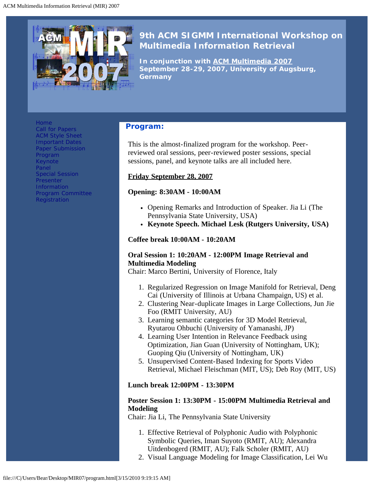<span id="page-9-0"></span>

*In conjunction with [ACM Multimedia 2007](javascript:if(confirm() September 28-29, 2007, University of Augsburg, Germany*

[Home](#page-2-0) [Call for Papers](#page-4-0) [ACM Style Sheet](javascript:if(confirm() [Important Dates](#page-7-0) [Paper Submission](#page-8-0) [Program](#page-9-0) [Keynote](#page-14-0) [Panel](#page-17-0) [Special Session](#page-19-0) [Presenter](#page-24-0) [Information](#page-24-0) [Program Committee](#page-25-0) **[Registration](#page-27-0)** 

## **Program:**

This is the almost-finalized program for the workshop. Peerreviewed oral sessions, peer-reviewed poster sessions, special sessions, panel, and keynote talks are all included here.

## **Friday September 28, 2007**

#### **Opening: 8:30AM - 10:00AM**

- Opening Remarks and Introduction of Speaker. Jia Li (The Pennsylvania State University, USA)
- **Keynote Speech. Michael Lesk (Rutgers University, USA)**

#### **Coffee break 10:00AM - 10:20AM**

#### **Oral Session 1: 10:20AM - 12:00PM Image Retrieval and Multimedia Modeling**

Chair: Marco Bertini, University of Florence, Italy

- 1. Regularized Regression on Image Manifold for Retrieval, Deng Cai (University of Illinois at Urbana Champaign, US) et al.
- 2. Clustering Near-duplicate Images in Large Collections, Jun Jie Foo (RMIT University, AU)
- 3. Learning semantic categories for 3D Model Retrieval, Ryutarou Ohbuchi (University of Yamanashi, JP)
- 4. Learning User Intention in Relevance Feedback using Optimization, Jian Guan (University of Nottingham, UK); Guoping Qiu (University of Nottingham, UK)
- 5. Unsupervised Content-Based Indexing for Sports Video Retrieval, Michael Fleischman (MIT, US); Deb Roy (MIT, US)

#### **Lunch break 12:00PM - 13:30PM**

#### **Poster Session 1: 13:30PM - 15:00PM Multimedia Retrieval and Modeling**

Chair: Jia Li, The Pennsylvania State University

- 1. Effective Retrieval of Polyphonic Audio with Polyphonic Symbolic Queries, Iman Suyoto (RMIT, AU); Alexandra Uitdenbogerd (RMIT, AU); Falk Scholer (RMIT, AU)
- 2. Visual Language Modeling for Image Classification, Lei Wu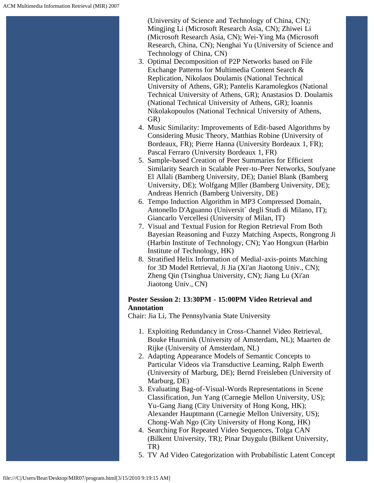(University of Science and Technology of China, CN); Mingjing Li (Microsoft Research Asia, CN); Zhiwei Li (Microsoft Research Asia, CN); Wei-Ying Ma (Microsoft Research, China, CN); Nenghai Yu (University of Science and Technology of China, CN)

- 3. Optimal Decomposition of P2P Networks based on File Exchange Patterns for Multimedia Content Search & Replication, Nikolaos Doulamis (National Technical University of Athens, GR); Pantelis Karamolegkos (National Technical University of Athens, GR); Anastasios D. Doulamis (National Technical University of Athens, GR); Ioannis Nikolakopoulos (National Technical University of Athens, GR)
- 4. Music Similarity: Improvements of Edit-based Algorithms by Considering Music Theory, Matthias Robine (University of Bordeaux, FR); Pierre Hanna (University Bordeaux 1, FR); Pascal Ferraro (University Bordeaux 1, FR)
- 5. Sample-based Creation of Peer Summaries for Efficient Similarity Search in Scalable Peer-to-Peer Networks, Soufyane El Allali (Bamberg University, DE); Daniel Blank (Bamberg University, DE); Wolfgang M|ller (Bamberg University, DE); Andreas Henrich (Bamberg University, DE)
- 6. Tempo Induction Algorithm in MP3 Compressed Domain, Antonello D'Aguanno (Universit` degli Studi di Milano, IT); Giancarlo Vercellesi (University of Milan, IT)
- 7. Visual and Textual Fusion for Region Retrieval From Both Bayesian Reasoning and Fuzzy Matching Aspects, Rongrong Ji (Harbin Institute of Technology, CN); Yao Hongxun (Harbin Institute of Technology, HK)
- 8. Stratified Helix Information of Medial-axis-points Matching for 3D Model Retrieval, Ji Jia (Xi'an Jiaotong Univ., CN); Zheng Qin (Tsinghua University, CN); Jiang Lu (Xi'an Jiaotong Univ., CN)

## **Poster Session 2: 13:30PM - 15:00PM Video Retrieval and Annotation**

Chair: Jia Li, The Pennsylvania State University

- 1. Exploiting Redundancy in Cross-Channel Video Retrieval, Bouke Huurnink (University of Amsterdam, NL); Maarten de Rijke (University of Amsterdam, NL)
- 2. Adapting Appearance Models of Semantic Concepts to Particular Videos via Transductive Learning, Ralph Ewerth (University of Marburg, DE); Bernd Freisleben (University of Marburg, DE)
- 3. Evaluating Bag-of-Visual-Words Representations in Scene Classification, Jun Yang (Carnegie Mellon University, US); Yu-Gang Jiang (City University of Hong Kong, HK); Alexander Hauptmann (Carnegie Mellon University, US); Chong-Wah Ngo (City University of Hong Kong, HK)
- 4. Searching For Repeated Video Sequences, Tolga CAN (Bilkent University, TR); Pinar Duygulu (Bilkent University, TR)
- 5. TV Ad Video Categorization with Probabilistic Latent Concept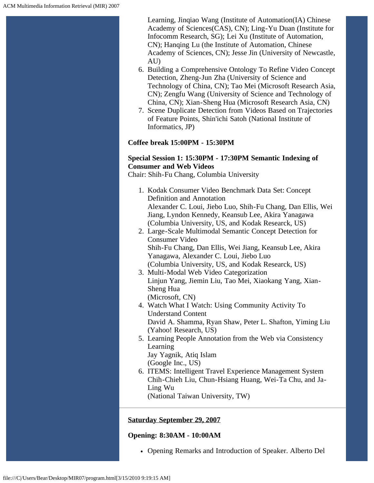Learning, Jinqiao Wang (Institute of Automation(IA) Chinese Academy of Sciences(CAS), CN); Ling-Yu Duan (Institute for Infocomm Research, SG); Lei Xu (Institute of Automation, CN); Hanqing Lu (the Institute of Automation, Chinese Academy of Sciences, CN); Jesse Jin (University of Newcastle, AU)

- 6. Building a Comprehensive Ontology To Refine Video Concept Detection, Zheng-Jun Zha (University of Science and Technology of China, CN); Tao Mei (Microsoft Research Asia, CN); Zengfu Wang (University of Science and Technology of China, CN); Xian-Sheng Hua (Microsoft Research Asia, CN)
- 7. Scene Duplicate Detection from Videos Based on Trajectories of Feature Points, Shin'ichi Satoh (National Institute of Informatics, JP)

#### **Coffee break 15:00PM - 15:30PM**

#### **Special Session 1: 15:30PM - 17:30PM Semantic Indexing of Consumer and Web Videos**

Chair: Shih-Fu Chang, Columbia University

- 1. Kodak Consumer Video Benchmark Data Set: Concept Definition and Annotation Alexander C. Loui, Jiebo Luo, Shih-Fu Chang, Dan Ellis, Wei Jiang, Lyndon Kennedy, Keansub Lee, Akira Yanagawa (Columbia University, US, and Kodak Researck, US)
- 2. Large-Scale Multimodal Semantic Concept Detection for Consumer Video Shih-Fu Chang, Dan Ellis, Wei Jiang, Keansub Lee, Akira Yanagawa, Alexander C. Loui, Jiebo Luo (Columbia University, US, and Kodak Researck, US)
- 3. Multi-Modal Web Video Categorization Linjun Yang, Jiemin Liu, Tao Mei, Xiaokang Yang, Xian-Sheng Hua (Microsoft, CN)
- 4. Watch What I Watch: Using Community Activity To Understand Content David A. Shamma, Ryan Shaw, Peter L. Shafton, Yiming Liu (Yahoo! Research, US)
- 5. Learning People Annotation from the Web via Consistency Learning Jay Yagnik, Atiq Islam (Google Inc., US)
- 6. ITEMS: Intelligent Travel Experience Management System Chih-Chieh Liu, Chun-Hsiang Huang, Wei-Ta Chu, and Ja-Ling Wu

(National Taiwan University, TW)

## **Saturday September 29, 2007**

## **Opening: 8:30AM - 10:00AM**

Opening Remarks and Introduction of Speaker. Alberto Del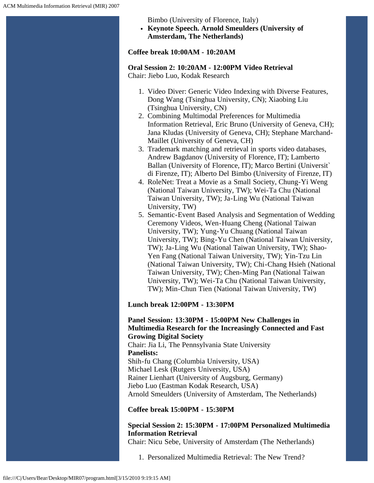Bimbo (University of Florence, Italy)

**Keynote Speech. Arnold Smeulders (University of Amsterdam, The Netherlands)**

#### **Coffee break 10:00AM - 10:20AM**

#### **Oral Session 2: 10:20AM - 12:00PM Video Retrieval**

Chair: Jiebo Luo, Kodak Research

- 1. Video Diver: Generic Video Indexing with Diverse Features, Dong Wang (Tsinghua University, CN); Xiaobing Liu (Tsinghua University, CN)
- 2. Combining Multimodal Preferences for Multimedia Information Retrieval, Eric Bruno (University of Geneva, CH); Jana Kludas (University of Geneva, CH); Stephane Marchand-Maillet (University of Geneva, CH)
- 3. Trademark matching and retrieval in sports video databases, Andrew Bagdanov (University of Florence, IT); Lamberto Ballan (University of Florence, IT); Marco Bertini (Universit` di Firenze, IT); Alberto Del Bimbo (University of Firenze, IT)
- 4. RoleNet: Treat a Movie as a Small Society, Chung-Yi Weng (National Taiwan University, TW); Wei-Ta Chu (National Taiwan University, TW); Ja-Ling Wu (National Taiwan University, TW)
- 5. Semantic-Event Based Analysis and Segmentation of Wedding Ceremony Videos, Wen-Huang Cheng (National Taiwan University, TW); Yung-Yu Chuang (National Taiwan University, TW); Bing-Yu Chen (National Taiwan University, TW); Ja-Ling Wu (National Taiwan University, TW); Shao-Yen Fang (National Taiwan University, TW); Yin-Tzu Lin (National Taiwan University, TW); Chi-Chang Hsieh (National Taiwan University, TW); Chen-Ming Pan (National Taiwan University, TW); Wei-Ta Chu (National Taiwan University, TW); Min-Chun Tien (National Taiwan University, TW)

#### **Lunch break 12:00PM - 13:30PM**

#### **Panel Session: 13:30PM - 15:00PM New Challenges in Multimedia Research for the Increasingly Connected and Fast Growing Digital Society**

Chair: Jia Li, The Pennsylvania State University **Panelists:** Shih-fu Chang (Columbia University, USA) Michael Lesk (Rutgers University, USA) Rainer Lienhart (University of Augsburg, Germany) Jiebo Luo (Eastman Kodak Research, USA) Arnold Smeulders (University of Amsterdam, The Netherlands)

## **Coffee break 15:00PM - 15:30PM**

## **Special Session 2: 15:30PM - 17:00PM Personalized Multimedia Information Retrieval**

Chair: Nicu Sebe, University of Amsterdam (The Netherlands)

1. Personalized Multimedia Retrieval: The New Trend?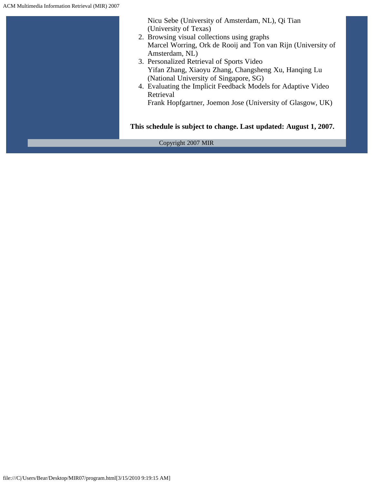Nicu Sebe (University of Amsterdam, NL), Qi Tian (University of Texas) 2. Browsing visual collections using graphs Marcel Worring, Ork de Rooij and Ton van Rijn (University of Amsterdam, NL) 3. Personalized Retrieval of Sports Video Yifan Zhang, Xiaoyu Zhang, Changsheng Xu, Hanqing Lu (National University of Singapore, SG) 4. Evaluating the Implicit Feedback Models for Adaptive Video Retrieval Frank Hopfgartner, Joemon Jose (University of Glasgow, UK) **This schedule is subject to change. Last updated: August 1, 2007.** Copyright 2007 MIR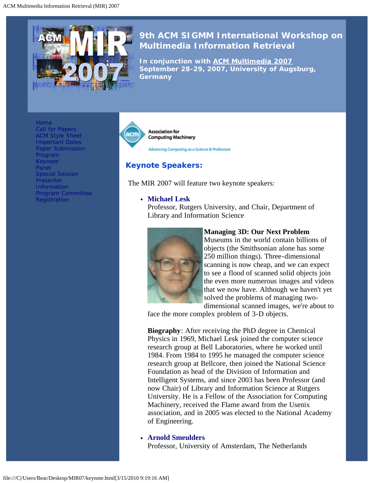<span id="page-14-0"></span>

*In conjunction with [ACM Multimedia 2007](javascript:if(confirm() September 28-29, 2007, University of Augsburg, Germany*

[Home](#page-2-0) [Call for Papers](#page-4-0) [ACM Style Sheet](javascript:if(confirm() [Important Dates](#page-7-0) [Paper Submission](#page-8-0) [Program](#page-9-0) [Keynote](#page-14-0) [Panel](#page-17-0) [Special Session](#page-19-0) **[Presenter](#page-24-0)** [Information](#page-24-0) [Program Committee](#page-25-0) **[Registration](#page-27-0)** 



**Association for Computing Machinery** 

Advancing Computing as a Science & Profession

## **Keynote Speakers:**

The MIR 2007 will feature two keynote speakers:

#### **[Michael Lesk](javascript:if(confirm()**

Professor, Rutgers University, and Chair, Department of Library and Information Science



## **Managing 3D: Our Next Problem**

Museums in the world contain billions of objects (the Smithsonian alone has some 250 million things). Three-dimensional scanning is now cheap, and we can expect to see a flood of scanned solid objects join the even more numerous images and videos that we now have. Although we haven't yet solved the problems of managing twodimensional scanned images, we're about to

face the more complex problem of 3-D objects.

**Biography**: After receiving the PhD degree in Chemical Physics in 1969, Michael Lesk joined the computer science research group at Bell Laboratories, where he worked until 1984. From 1984 to 1995 he managed the computer science research group at Bellcore, then joined the National Science Foundation as head of the Division of Information and Intelligent Systems, and since 2003 has been Professor (and now Chair) of Library and Information Science at Rutgers University. He is a Fellow of the Association for Computing Machinery, received the Flame award from the Usenix association, and in 2005 was elected to the National Academy of Engineering.

**[Arnold Smeulders](javascript:if(confirm()** Professor, University of Amsterdam, The Netherlands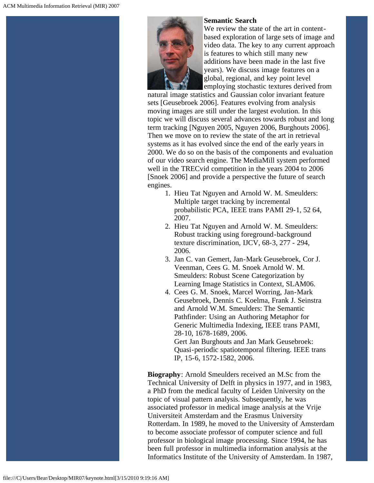

#### **Semantic Search**

We review the state of the art in contentbased exploration of large sets of image and video data. The key to any current approach is features to which still many new additions have been made in the last five years). We discuss image features on a global, regional, and key point level employing stochastic textures derived from

natural image statistics and Gaussian color invariant feature sets [Geusebroek 2006]. Features evolving from analysis moving images are still under the largest evolution. In this topic we will discuss several advances towards robust and long term tracking [Nguyen 2005, Nguyen 2006, Burghouts 2006]. Then we move on to review the state of the art in retrieval systems as it has evolved since the end of the early years in 2000. We do so on the basis of the components and evaluation of our video search engine. The MediaMill system performed well in the TRECvid competition in the years 2004 to 2006 [Snoek 2006] and provide a perspective the future of search engines.

- 1. Hieu Tat Nguyen and Arnold W. M. Smeulders: Multiple target tracking by incremental probabilistic PCA, IEEE trans PAMI 29-1, 52 64, 2007.
- 2. Hieu Tat Nguyen and Arnold W. M. Smeulders: Robust tracking using foreground-background texture discrimination, IJCV, 68-3, 277 - 294, 2006.
- 3. Jan C. van Gemert, Jan-Mark Geusebroek, Cor J. Veenman, Cees G. M. Snoek Arnold W. M. Smeulders: Robust Scene Categorization by Learning Image Statistics in Context, SLAM06.
- 4. Cees G. M. Snoek, Marcel Worring, Jan-Mark Geusebroek, Dennis C. Koelma, Frank J. Seinstra and Arnold W.M. Smeulders: The Semantic Pathfinder: Using an Authoring Metaphor for Generic Multimedia Indexing, IEEE trans PAMI, 28-10, 1678-1689, 2006.

Gert Jan Burghouts and Jan Mark Geusebroek: Quasi-periodic spatiotemporal filtering. IEEE trans IP, 15-6, 1572-1582, 2006.

**Biography**: Arnold Smeulders received an M.Sc from the Technical University of Delft in physics in 1977, and in 1983, a PhD from the medical faculty of Leiden University on the topic of visual pattern analysis. Subsequently, he was associated professor in medical image analysis at the Vrije Universiteit Amsterdam and the Erasmus University Rotterdam. In 1989, he moved to the University of Amsterdam to become associate professor of computer science and full professor in biological image processing. Since 1994, he has been full professor in multimedia information analysis at the Informatics Institute of the University of Amsterdam. In 1987,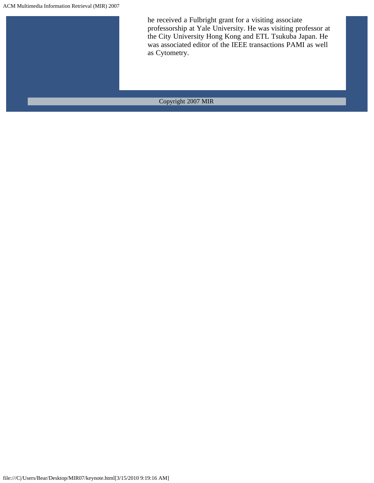he received a Fulbright grant for a visiting associate professorship at Yale University. He was visiting professor at the City University Hong Kong and ETL Tsukuba Japan. He was associated editor of the IEEE transactions PAMI as well as Cytometry.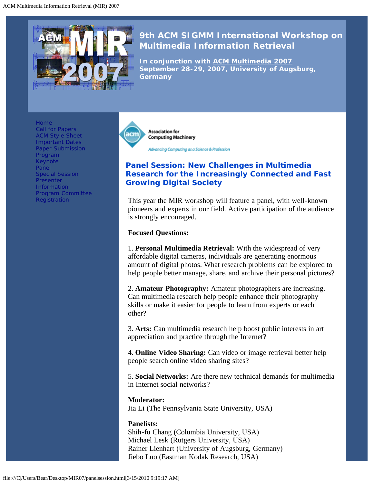<span id="page-17-0"></span>

*In conjunction with [ACM Multimedia 2007](javascript:if(confirm() September 28-29, 2007, University of Augsburg, Germany*

[Home](#page-2-0) [Call for Papers](#page-4-0) [ACM Style Sheet](javascript:if(confirm() [Important Dates](#page-7-0) [Paper Submission](#page-8-0) [Program](#page-9-0) [Keynote](#page-14-0) [Panel](#page-17-0) [Special Session](#page-19-0) **[Presenter](#page-24-0)** [Information](#page-24-0) [Program Committee](#page-25-0) **[Registration](#page-27-0)** 



**Association for Computing Machinery** 

Advancing Computing as a Science & Profession

## **Panel Session: New Challenges in Multimedia Research for the Increasingly Connected and Fast Growing Digital Society**

This year the MIR workshop will feature a panel, with well-known pioneers and experts in our field. Active participation of the audience is strongly encouraged.

#### **Focused Questions:**

1. **Personal Multimedia Retrieval:** With the widespread of very affordable digital cameras, individuals are generating enormous amount of digital photos. What research problems can be explored to help people better manage, share, and archive their personal pictures?

2. **Amateur Photography:** Amateur photographers are increasing. Can multimedia research help people enhance their photography skills or make it easier for people to learn from experts or each other?

3. **Arts:** Can multimedia research help boost public interests in art appreciation and practice through the Internet?

4. **Online Video Sharing:** Can video or image retrieval better help people search online video sharing sites?

5. **Social Networks:** Are there new technical demands for multimedia in Internet social networks?

## **Moderator:**

Jia Li (The Pennsylvania State University, USA)

## **Panelists:**

Shih-fu Chang (Columbia University, USA) Michael Lesk (Rutgers University, USA) Rainer Lienhart (University of Augsburg, Germany) Jiebo Luo (Eastman Kodak Research, USA)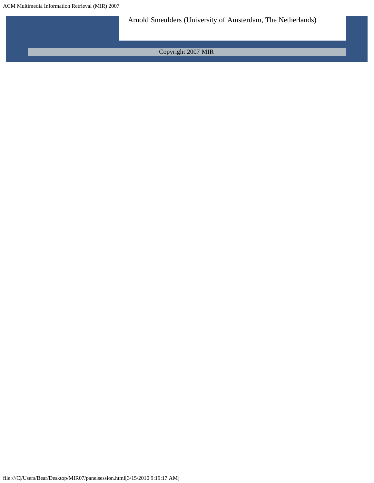ACM Multimedia Information Retrieval (MIR) 2007

Arnold Smeulders (University of Amsterdam, The Netherlands)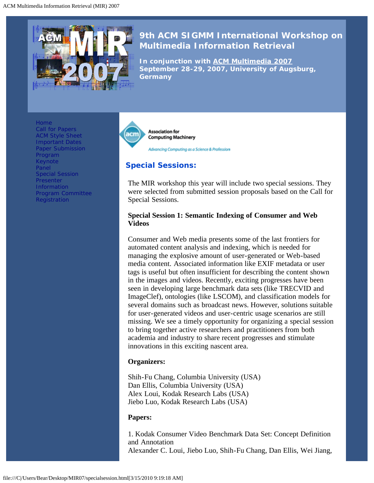<span id="page-19-0"></span>

*In conjunction with [ACM Multimedia 2007](javascript:if(confirm() September 28-29, 2007, University of Augsburg, Germany*

[Home](#page-2-0) [Call for Papers](#page-4-0) [ACM Style Sheet](javascript:if(confirm() [Important Dates](#page-7-0) [Paper Submission](#page-8-0) [Program](#page-9-0) [Keynote](#page-14-0) [Panel](#page-17-0) [Special Session](#page-19-0) **[Presenter](#page-24-0)** [Information](#page-24-0) [Program Committee](#page-25-0) **[Registration](#page-27-0)** 



**Association for Computing Machinery** 

Advancing Computing as a Science & Profession

## **Special Sessions:**

The MIR workshop this year will include two special sessions. They were selected from submitted session proposals based on the Call for Special Sessions.

#### **Special Session 1: Semantic Indexing of Consumer and Web Videos**

Consumer and Web media presents some of the last frontiers for automated content analysis and indexing, which is needed for managing the explosive amount of user-generated or Web-based media content. Associated information like EXIF metadata or user tags is useful but often insufficient for describing the content shown in the images and videos. Recently, exciting progresses have been seen in developing large benchmark data sets (like TRECVID and ImageClef), ontologies (like LSCOM), and classification models for several domains such as broadcast news. However, solutions suitable for user-generated videos and user-centric usage scenarios are still missing. We see a timely opportunity for organizing a special session to bring together active researchers and practitioners from both academia and industry to share recent progresses and stimulate innovations in this exciting nascent area.

## **Organizers:**

Shih-Fu Chang, Columbia University (USA) Dan Ellis, Columbia University (USA) Alex Loui, Kodak Research Labs (USA) Jiebo Luo, Kodak Research Labs (USA)

#### **Papers:**

1. Kodak Consumer Video Benchmark Data Set: Concept Definition and Annotation Alexander C. Loui, Jiebo Luo, Shih-Fu Chang, Dan Ellis, Wei Jiang,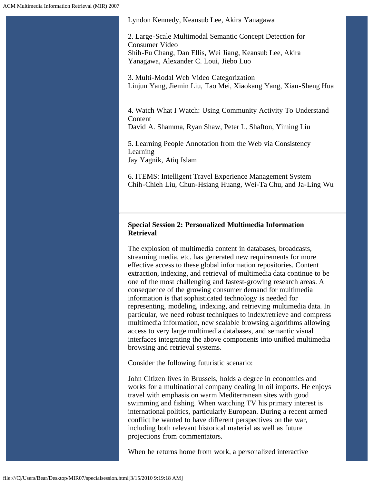Lyndon Kennedy, Keansub Lee, Akira Yanagawa

2. Large-Scale Multimodal Semantic Concept Detection for Consumer Video Shih-Fu Chang, Dan Ellis, Wei Jiang, Keansub Lee, Akira Yanagawa, Alexander C. Loui, Jiebo Luo

3. Multi-Modal Web Video Categorization Linjun Yang, Jiemin Liu, Tao Mei, Xiaokang Yang, Xian-Sheng Hua

4. Watch What I Watch: Using Community Activity To Understand **Content** David A. Shamma, Ryan Shaw, Peter L. Shafton, Yiming Liu

5. Learning People Annotation from the Web via Consistency Learning Jay Yagnik, Atiq Islam

6. ITEMS: Intelligent Travel Experience Management System Chih-Chieh Liu, Chun-Hsiang Huang, Wei-Ta Chu, and Ja-Ling Wu

#### **Special Session 2: Personalized Multimedia Information Retrieval**

The explosion of multimedia content in databases, broadcasts, streaming media, etc. has generated new requirements for more effective access to these global information repositories. Content extraction, indexing, and retrieval of multimedia data continue to be one of the most challenging and fastest-growing research areas. A consequence of the growing consumer demand for multimedia information is that sophisticated technology is needed for representing, modeling, indexing, and retrieving multimedia data. In particular, we need robust techniques to index/retrieve and compress multimedia information, new scalable browsing algorithms allowing access to very large multimedia databases, and semantic visual interfaces integrating the above components into unified multimedia browsing and retrieval systems.

Consider the following futuristic scenario:

John Citizen lives in Brussels, holds a degree in economics and works for a multinational company dealing in oil imports. He enjoys travel with emphasis on warm Mediterranean sites with good swimming and fishing. When watching TV his primary interest is international politics, particularly European. During a recent armed conflict he wanted to have different perspectives on the war, including both relevant historical material as well as future projections from commentators.

When he returns home from work, a personalized interactive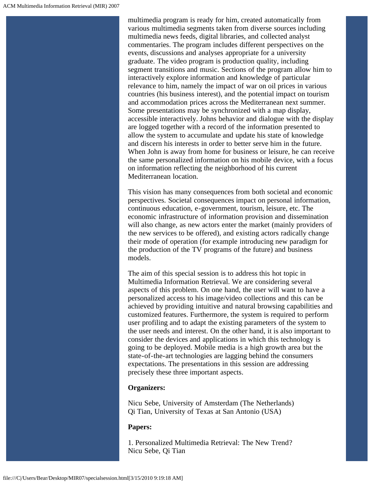multimedia program is ready for him, created automatically from various multimedia segments taken from diverse sources including multimedia news feeds, digital libraries, and collected analyst commentaries. The program includes different perspectives on the events, discussions and analyses appropriate for a university graduate. The video program is production quality, including segment transitions and music. Sections of the program allow him to interactively explore information and knowledge of particular relevance to him, namely the impact of war on oil prices in various countries (his business interest), and the potential impact on tourism and accommodation prices across the Mediterranean next summer. Some presentations may be synchronized with a map display, accessible interactively. Johns behavior and dialogue with the display are logged together with a record of the information presented to allow the system to accumulate and update his state of knowledge and discern his interests in order to better serve him in the future. When John is away from home for business or leisure, he can receive the same personalized information on his mobile device, with a focus on information reflecting the neighborhood of his current Mediterranean location.

This vision has many consequences from both societal and economic perspectives. Societal consequences impact on personal information, continuous education, e-government, tourism, leisure, etc. The economic infrastructure of information provision and dissemination will also change, as new actors enter the market (mainly providers of the new services to be offered), and existing actors radically change their mode of operation (for example introducing new paradigm for the production of the TV programs of the future) and business models.

The aim of this special session is to address this hot topic in Multimedia Information Retrieval. We are considering several aspects of this problem. On one hand, the user will want to have a personalized access to his image/video collections and this can be achieved by providing intuitive and natural browsing capabilities and customized features. Furthermore, the system is required to perform user profiling and to adapt the existing parameters of the system to the user needs and interest. On the other hand, it is also important to consider the devices and applications in which this technology is going to be deployed. Mobile media is a high growth area but the state-of-the-art technologies are lagging behind the consumers expectations. The presentations in this session are addressing precisely these three important aspects.

#### **Organizers:**

Nicu Sebe, University of Amsterdam (The Netherlands) Qi Tian, University of Texas at San Antonio (USA)

#### **Papers:**

1. Personalized Multimedia Retrieval: The New Trend? Nicu Sebe, Qi Tian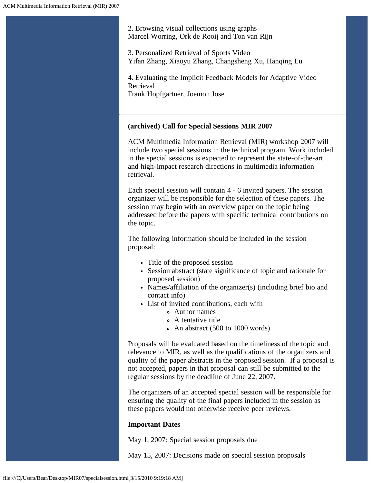2. Browsing visual collections using graphs Marcel Worring, Ork de Rooij and Ton van Rijn

3. Personalized Retrieval of Sports Video Yifan Zhang, Xiaoyu Zhang, Changsheng Xu, Hanqing Lu

4. Evaluating the Implicit Feedback Models for Adaptive Video Retrieval Frank Hopfgartner, Joemon Jose

#### **(archived) Call for Special Sessions MIR 2007**

ACM Multimedia Information Retrieval (MIR) workshop 2007 will include two special sessions in the technical program. Work included in the special sessions is expected to represent the state-of-the-art and high-impact research directions in multimedia information retrieval.

Each special session will contain 4 - 6 invited papers. The session organizer will be responsible for the selection of these papers. The session may begin with an overview paper on the topic being addressed before the papers with specific technical contributions on the topic.

The following information should be included in the session proposal:

- Title of the proposed session
- Session abstract (state significance of topic and rationale for proposed session)
- Names/affiliation of the organizer(s) (including brief bio and contact info)
- List of invited contributions, each with
	- Author names
	- A tentative title
	- An abstract (500 to 1000 words)

Proposals will be evaluated based on the timeliness of the topic and relevance to MIR, as well as the qualifications of the organizers and quality of the paper abstracts in the proposed session. If a proposal is not accepted, papers in that proposal can still be submitted to the regular sessions by the deadline of June 22, 2007.

The organizers of an accepted special session will be responsible for ensuring the quality of the final papers included in the session as these papers would not otherwise receive peer reviews.

#### **Important Dates**

May 1, 2007: Special session proposals due

May 15, 2007: Decisions made on special session proposals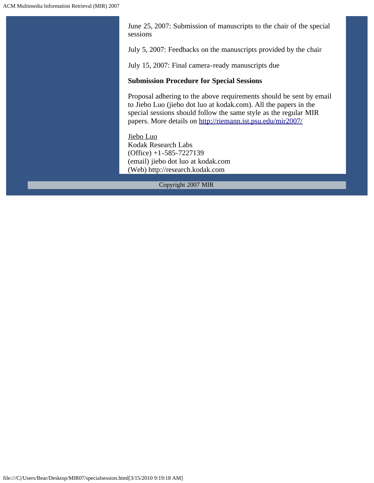June 25, 2007: Submission of manuscripts to the chair of the special sessions

July 5, 2007: Feedbacks on the manuscripts provided by the chair

July 15, 2007: Final camera-ready manuscripts due

#### **Submission Procedure for Special Sessions**

Proposal adhering to the above requirements should be sent by email to Jiebo Luo (jiebo dot luo at kodak.com). All the papers in the special sessions should follow the same style as the regular MIR papers. More details on [http://riemann.ist.psu.edu/mir2007/](#page-0-0)

Jiebo Luo Kodak Research Labs (Office) +1-585-7227139 (email) jiebo dot luo at kodak.com (Web) http://research.kodak.com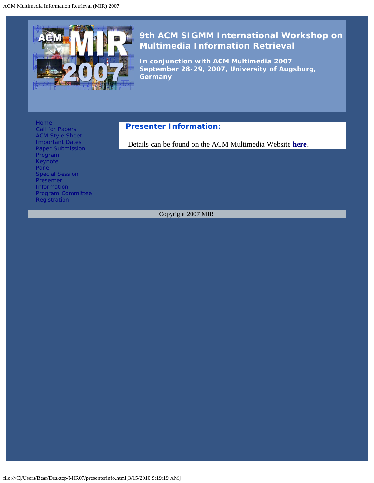<span id="page-24-0"></span>

*In conjunction with [ACM Multimedia 2007](javascript:if(confirm() September 28-29, 2007, University of Augsburg, Germany*

[Home](#page-2-0) [Call for Papers](#page-4-0) [ACM Style Sheet](javascript:if(confirm() [Important Dates](#page-7-0) [Paper Submission](#page-8-0) [Program](#page-9-0) [Keynote](#page-14-0) [Panel](#page-17-0) [Special Session](#page-19-0) [Presenter](#page-24-0) [Information](#page-24-0) [Program Committee](#page-25-0) **[Registration](#page-27-0)** 

## **Presenter Information:**

Details can be found on the ACM Multimedia Website **[here](javascript:if(confirm()**.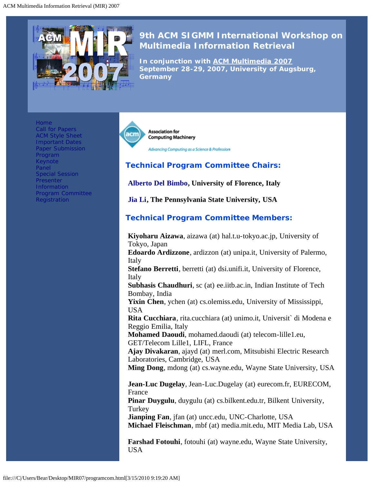<span id="page-25-0"></span>

*In conjunction with [ACM Multimedia 2007](javascript:if(confirm() September 28-29, 2007, University of Augsburg, Germany*

[Home](#page-2-0) [Call for Papers](#page-4-0) [ACM Style Sheet](javascript:if(confirm() [Important Dates](#page-7-0) [Paper Submission](#page-8-0) [Program](#page-9-0) [Keynote](#page-14-0) [Panel](#page-17-0) [Special Session](#page-19-0) [Presenter](#page-24-0) [Information](#page-24-0) [Program Committee](#page-25-0) **[Registration](#page-27-0)** 



**Association for Computing Machinery** 

Advancing Computing as a Science & Profession

# **Technical Program Committee Chairs:**

## **[Alberto Del Bimbo,](javascript:if(confirm() University of Florence, Italy**

**[Jia Li,](javascript:if(confirm() The Pennsylvania State University, USA**

# **Technical Program Committee Members:**

**Kiyoharu Aizawa**, aizawa (at) hal.t.u-tokyo.ac.jp, University of Tokyo, Japan **Edoardo Ardizzone**, ardizzon (at) unipa.it, University of Palermo, Italy **Stefano Berretti**, berretti (at) dsi.unifi.it, University of Florence, Italy **Subhasis Chaudhuri**, sc (at) ee.iitb.ac.in, Indian Institute of Tech Bombay, India **Yixin Chen**, ychen (at) cs.olemiss.edu, University of Mississippi, USA **Rita Cucchiara**, rita.cucchiara (at) unimo.it, Universit` di Modena e Reggio Emilia, Italy **Mohamed Daoudi**, mohamed.daoudi (at) telecom-lille1.eu, GET/Telecom Lille1, LIFL, France **Ajay Divakaran**, ajayd (at) merl.com, Mitsubishi Electric Research Laboratories, Cambridge, USA **Ming Dong**, mdong (at) cs.wayne.edu, Wayne State University, USA **Jean-Luc Dugelay**, Jean-Luc.Dugelay (at) eurecom.fr, EURECOM, France **Pinar Duygulu**, duygulu (at) cs.bilkent.edu.tr, Bilkent University, **Turkey Jianping Fan**, jfan (at) uncc.edu, UNC-Charlotte, USA **Michael Fleischman**, mbf (at) media.mit.edu, MIT Media Lab, USA

**Farshad Fotouhi**, fotouhi (at) wayne.edu, Wayne State University, USA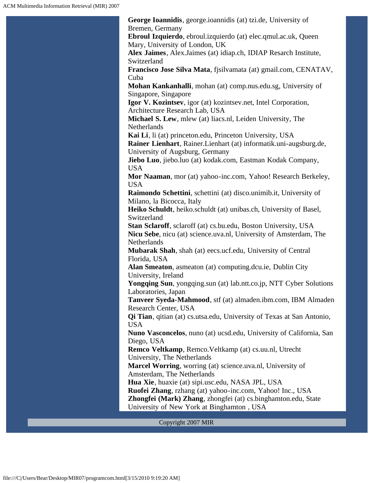**George Ioannidis**, george.ioannidis (at) tzi.de, University of Bremen, Germany **Ebroul Izquierdo**, ebroul.izquierdo (at) elec.qmul.ac.uk, Queen Mary, University of London, UK **Alex Jaimes**, Alex.Jaimes (at) idiap.ch, IDIAP Resarch Institute, Switzerland **Francisco Jose Silva Mata**, fjsilvamata (at) gmail.com, CENATAV, Cuba **Mohan Kankanhalli**, mohan (at) comp.nus.edu.sg, University of Singapore, Singapore **Igor V. Kozintsev**, igor (at) kozintsev.net, Intel Corporation, Architecture Research Lab, USA **Michael S. Lew**, mlew (at) liacs.nl, Leiden University, The **Netherlands Kai Li**, li (at) princeton.edu, Princeton University, USA **Rainer Lienhart**, Rainer.Lienhart (at) informatik.uni-augsburg.de, University of Augsburg, Germany **Jiebo Luo**, jiebo.luo (at) kodak.com, Eastman Kodak Company, USA **Mor Naaman**, mor (at) yahoo-inc.com, Yahoo! Research Berkeley, USA **Raimondo Schettini**, schettini (at) disco.unimib.it, University of Milano, la Bicocca, Italy **Heiko Schuldt**, heiko.schuldt (at) unibas.ch, University of Basel, Switzerland **Stan Sclaroff**, sclaroff (at) cs.bu.edu, Boston University, USA **Nicu Sebe**, nicu (at) science.uva.nl, University of Amsterdam, The **Netherlands Mubarak Shah**, shah (at) eecs.ucf.edu, University of Central Florida, USA **Alan Smeaton**, asmeaton (at) computing.dcu.ie, Dublin City University, Ireland **Yongqing Sun**, yongqing.sun (at) lab.ntt.co.jp, NTT Cyber Solutions Laboratories, Japan **Tanveer Syeda-Mahmood**, stf (at) almaden.ibm.com, IBM Almaden Research Center, USA **Qi Tian**, qitian (at) cs.utsa.edu, University of Texas at San Antonio, USA **Nuno Vasconcelos**, nuno (at) ucsd.edu, University of California, San Diego, USA **Remco Veltkamp**, Remco.Veltkamp (at) cs.uu.nl, Utrecht University, The Netherlands **Marcel Worring**, worring (at) science.uva.nl, University of Amsterdam, The Netherlands **Hua Xie**, huaxie (at) sipi.usc.edu, NASA JPL, USA **Ruofei Zhang**, rzhang (at) yahoo-inc.com, Yahoo! Inc., USA **Zhongfei (Mark) Zhang**, zhongfei (at) cs.binghamton.edu, State University of New York at Binghamton , USA Copyright 2007 MIR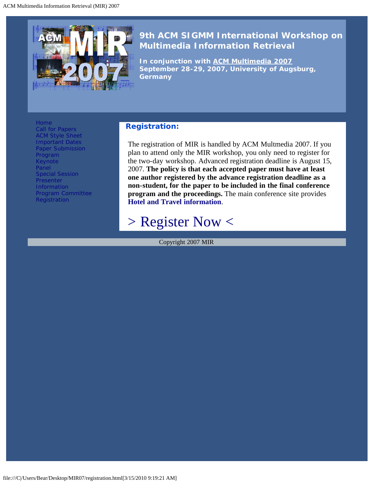<span id="page-27-0"></span>

*In conjunction with [ACM Multimedia 2007](javascript:if(confirm() September 28-29, 2007, University of Augsburg, Germany*

[Home](#page-2-0) [Call for Papers](#page-4-0) [ACM Style Sheet](javascript:if(confirm() [Important Dates](#page-7-0) [Paper Submission](#page-8-0) [Program](#page-9-0) **[Keynote](#page-14-0)** [Panel](#page-17-0) [Special Session](#page-19-0) [Presenter](#page-24-0) **[Information](#page-24-0)** [Program Committee](#page-25-0) **[Registration](#page-27-0)** 

## **Registration:**

The registration of MIR is handled by ACM Multmedia 2007. If you plan to attend only the MIR workshop, you only need to register for the two-day workshop. Advanced registration deadline is August 15, 2007. **The policy is that each accepted paper must have at least one author registered by the advance registration deadline as a non-student, for the paper to be included in the final conference program and the proceedings.** The main conference site provides **[Hotel and Travel information](javascript:if(confirm()**.

# [> Register Now <](javascript:if(confirm()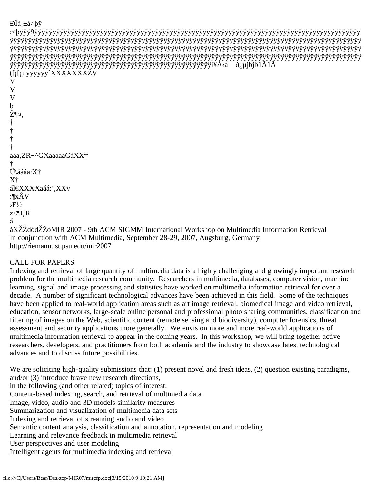```
D\ddot{a}i\pmá>bÿ
```
:<þÿÿÿ9ÿÿÿÿÿÿÿÿÿÿÿÿÿÿÿÿÿÿÿÿÿÿÿÿÿÿÿÿÿÿÿÿÿÿÿÿÿÿÿÿÿÿÿÿÿÿÿÿÿÿÿÿÿÿÿÿÿÿÿÿÿÿÿÿÿÿÿÿÿÿÿÿÿÿÿÿÿÿÿÿÿÿÿÿÿÿÿÿÿ ÿÿÿÿÿÿÿÿÿÿÿÿÿÿÿÿÿÿÿÿÿÿÿÿÿÿÿÿÿÿÿÿÿÿÿÿÿÿÿÿÿÿÿÿÿÿÿÿÿÿÿÿÿÿÿÿÿÿÿÿÿÿÿÿÿÿÿÿÿÿÿÿÿÿÿÿÿÿÿÿÿÿÿÿÿÿÿÿÿÿÿÿÿÿÿÿ ÿÿÿÿÿÿÿÿÿÿÿÿÿÿÿÿÿÿÿÿÿÿÿÿÿÿÿÿÿÿÿÿÿÿÿÿÿÿÿÿÿÿÿÿÿÿÿÿÿÿÿÿÿÿÿÿÿÿÿÿÿÿÿÿÿÿÿÿÿÿÿÿÿÿÿÿÿÿÿÿÿÿÿÿÿÿÿÿÿÿÿÿÿÿÿÿ ÿÿÿÿÿÿÿÿÿÿÿÿÿÿÿÿÿÿÿÿÿÿÿÿÿÿÿÿÿÿÿÿÿÿÿÿÿÿÿÿÿÿÿÿÿÿÿÿÿÿÿÿÿÿÿÿÿÿÿÿÿÿÿÿÿÿÿÿÿÿÿÿÿÿÿÿÿÿÿÿÿÿÿÿÿÿÿÿÿÿÿÿÿÿÿÿ ÿÿÿÿÿÿÿÿÿÿÿÿÿÿÿÿÿÿÿÿÿÿÿÿÿÿÿÿÿÿÿÿÿÿÿÿÿÿÿÿÿÿÿÿÿÿÿÿÿÿÿÿÿÿÿì¥Á‹a ð¿µjbjb1Ã1à ([¡[¡µÿÿÿÿÿÿˆXXXXXXXŽV V V V b ޶¤ † † † † aaa,ZR¬^GXaaaaaGáXX† † Û\áááa:X† X† ál€XXXXaáá:',XXv :¶xÂV  $\rightarrow$ F<sup>1</sup>/<sub>2</sub> z<¶ÇR á áXŽŽdòdŽŽòMIR 2007 - 9th ACM SIGMM International Workshop on Multimedia Information Retrieval In conjunction with ACM Multimedia, September 28-29, 2007, Augsburg, Germany http://riemann.ist.psu.edu/mir2007

# CALL FOR PAPERS

Indexing and retrieval of large quantity of multimedia data is a highly challenging and growingly important research problem for the multimedia research community. Researchers in multimedia, databases, computer vision, machine learning, signal and image processing and statistics have worked on multimedia information retrieval for over a decade. A number of significant technological advances have been achieved in this field. Some of the techniques have been applied to real-world application areas such as art image retrieval, biomedical image and video retrieval, education, sensor networks, large-scale online personal and professional photo sharing communities, classification and filtering of images on the Web, scientific content (remote sensing and biodiversity), computer forensics, threat assessment and security applications more generally. We envision more and more real-world applications of multimedia information retrieval to appear in the coming years. In this workshop, we will bring together active researchers, developers, and practitioners from both academia and the industry to showcase latest technological advances and to discuss future possibilities.

We are soliciting high-quality submissions that: (1) present novel and fresh ideas, (2) question existing paradigms, and/or (3) introduce brave new research directions, in the following (and other related) topics of interest: Content-based indexing, search, and retrieval of multimedia data Image, video, audio and 3D models similarity measures Summarization and visualization of multimedia data sets Indexing and retrieval of streaming audio and video Semantic content analysis, classification and annotation, representation and modeling Learning and relevance feedback in multimedia retrieval User perspectives and user modeling Intelligent agents for multimedia indexing and retrieval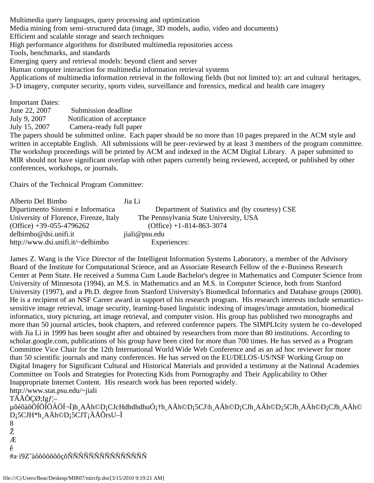Multimedia query languages, query processing and optimization Media mining from semi-structured data (image, 3D models, audio, video and documents) Efficient and scalable storage and search techniques High performance algorithms for distributed multimedia repositories access Tools, benchmarks, and standards Emerging query and retrieval models: beyond client and server Human computer interaction for multimedia information retrieval systems Applications of multimedia information retrieval in the following fields (but not limited to): art and cultural heritages, 3-D imagery, computer security, sports video, surveillance and forensics, medical and health care imagery

Important Dates:<br>June 22, 2007 Submission deadline

July 9, 2007 Notification of acceptance

July 15, 2007 Camera-ready full paper

The papers should be submitted online. Each paper should be no more than 10 pages prepared in the ACM style and written in acceptable English. All submissions will be peer-reviewed by at least 3 members of the program committee. The workshop proceedings will be printed by ACM and indexed in the ACM Digital Library. A paper submitted to MIR should not have significant overlap with other papers currently being reviewed, accepted, or published by other conferences, workshops, or journals.

Chairs of the Technical Program Committee:

| Alberto Del Bimbo                      | Jia Li                                         |
|----------------------------------------|------------------------------------------------|
| Dipartimento Sistemi e Informatica     | Department of Statistics and (by courtesy) CSE |
| University of Florence, Firenze, Italy | The Pennsylvania State University, USA         |
| $(Office) +39-055-4796262$             | (Office) $+1-814-863-3074$                     |
| $delbimbo@$ dsi.unifi.it               | jiali@psu.edu                                  |
| http://www.dsi.unifi.it/~delbimbo      | Experiences:                                   |

James Z. Wang is the Vice Director of the Intelligent Information Systems Laboratory, a member of the Advisory Board of the Institute for Computational Science, and an Associate Research Fellow of the e-Business Research Center at Penn State. He received a Summa Cum Laude Bachelor's degree in Mathematics and Computer Science from University of Minnesota (1994), an M.S. in Mathematics and an M.S. in Computer Science, both from Stanford University (1997), and a Ph.D. degree from Stanford University's Biomedical Informatics and Database groups (2000). He is a recipient of an NSF Career award in support of his research program. His research interests include semanticssensitive image retrieval, image security, learning-based linguistic indexing of images/image annotation, biomedical informatics, story picturing, art image retrieval, and computer vision. His group has published two monographs and more than 50 journal articles, book chapters, and refereed conference papers. The SIMPLIcity system he co-developed with Jia Li in 1999 has been sought after and obtained by researchers from more than 80 institutions. According to scholar.google.com, publications of his group have been cited for more than 700 times. He has served as a Program Committee Vice Chair for the 12th International World Wide Web Conference and as an ad hoc reviewer for more than 50 scientific journals and many conferences. He has served on the EU/DELOS-US/NSF Working Group on Digital Imagery for Significant Cultural and Historical Materials and provided a testimony at the National Academies Committee on Tools and Strategies for Protecting Kids from Pornography and Their Applicability to Other Inappropriate Internet Content. His research work has been reported widely. http://www.stat.psu.edu/~jiali TÄÅÕÇØ;Igƒ¦– µõéõàõÖÍÖÍÖÁÖͬÍ)h¸AÄh©D¡CJcHdhdhdhuÓ¡†h¸AÄh©D¡5CJ\h¸AÄh©D¡CJh¸AÄh©D¡5CJh¸AÄh©D¡CJh¸AÄh© D¡5CJH\*h¸AÄh©D¡5CJT¡ÄÅÕrsU–Ì 8 Ž

- 
- Æ
- ê
- #a·ì9Z˜àõõõõõõõçõÑÑÑÑÑÑÑÑÑÑÑÑÑÑÑ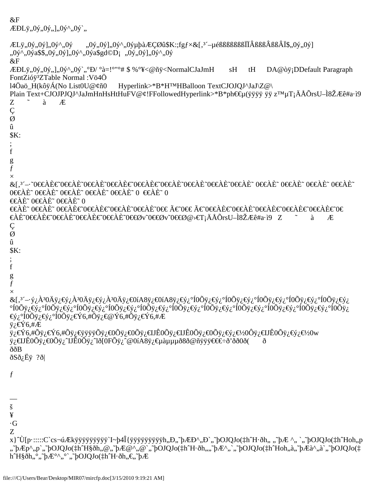```
\mathcal{A}EÐLÿ,,0ý,,0ý,,],,0ý^,,0ý`,
EELÿ,,0ý,,0ý],,0ý^,,0ý ...,0ý,,0ý],,0ý^,,0ýµþàÆÇØû$K:;fgf \times \&[,<sup>3´</sup>–µéßßßßßßBÄßßÂ\hat{A}ßßÂÏ$,,0ý,,0ý]
0.09^{\prime\prime}, 0\dot{y}a$$,0\dot{y}, 0\dot{y}], 0\dot{y}^, 0\dot{y}a$gd©D; 0,0\dot{y}, 0\dot{y}0,0\dot{y}&F
ÆÐLÿ,,0ý,,0ý,,],,0ý^,,0ý`,,°Ð/ °à=!°″°# $ %°¥<@ñÿ<NormalCJaJmH sH tH DA@òÿ¡DDefault Paragraph
FontZióÿ<sup>3</sup>ZTable Normal :Vö4Ö
l4Öaö_H(kôÿÁ(No List0U@¢ñ0 Hyperlink>*B*H™HBalloon TextCJOJQJ^JaJ\Z@\
Plain Text+CJOJPJQJ^JaJmHnHsHtHuFV@¢!FFollowedHyperlink>*B*ph€€µ(ÿÿÿÿ ÿÿ z<sup>™</sup>µT¡ÄÅÕrsU–Ì8ŽÆê#a·ì9
Z \ddot{a} \ddot{E}Ç
Ø
û
$K:
;
f
g
ƒ
×
&[,3´–~~^0<del>€€</del>ÀÈ€°0€€ÀÈ^0€€ÀÈ€°0€€ÀÈ€°0€€ÀÈ~0€€ÀÈ~°0€€ÀÈ~°0€€ÀÈ~°0€€ÀÈ~°0€€ÀÈ~^0€€ÀÈ~
0€€ÀÈ~0€€ÀÈ~0€€ÀÈ~0€€ÀÈ~0€€ÀÈ~0€€ÀÈ~0
€€ÀÈ~0€€ÀÈ~0€€ÀÈ~0
€€ÀÈ~^0€€ÀÈ~^0€€ÀÈ€^0€€ÀÈ~^€€ÀÈ~^€€Ã€^€€Ã€^€€ÀÈ€^€€ÀÈ€^€€ÀÈ€^€€ÀÈ€^€€ÀÈ€
€ÀÈ~0<del>€€</del>ÀÈ€0<del>€€</del>ÀÈ~0€€ÀÈ€0€€ÀÈ~0€@v^0€@v^0€@@›€T;ÄÅÕrsU–Ì8ŽÆê#a·ì9  Z             à      Æ
Ç
Ø
û
$K:
;
f
g
ƒ
×
&[,<sup>3</sup>´–·ý¿À<sup>3</sup>0Äÿ¿€ý¿À<sup>3</sup>0Äÿ¿€ý¿À<sup>3</sup>0Äÿ¿€0íA8ÿ¿€0íA8ÿ¿€ý¿°Í0Õÿ¿€ý¿°Í0Õÿ¿€ý¿°Í0Õÿ¿€ý¿°Í0Õÿ¿€ý¿
^{\circ}Í0Õÿ<sub>ć</sub>\check{g}_{i}°Í0Õÿ\check{g}_{i}\check{g}_{j}°Í0Õÿ\check{g}_{i}€ý\check{g}_{i}°Í0Õÿ\check{g}_{i}€ý\check{g}_{i}°Í0Õ\check{g}_{j}°Í\check{g}_{j}°Í\check{g}_{j}°Í\check{g}_{j}°Í\check{g}_{j}°Í\check{g}_{j}°Í0Õ\check{g}_{j}€ý¿°Í0Õÿ¿€ý¿°Í0Õÿ¿€Ý6,#Õÿ¿€@Ý6,#Õÿ¿€Ý6,#Æ
ÿ¿€Ý6,#Æ
\ddot{y}_i \in \acute{Y}6, \# \tilde{O} \ddot{y}_i \oplus \acute{O} \ddot{y}_i \oplus \acute{O} \ddot{y}_i \oplus \acute{O} \ddot{y}_i \oplus \mathrm{I} \hat{E} \tilde{O} \ddot{0} \ddot{y}_i \oplus \mathrm{II} \hat{E} \tilde{O} \ddot{0} \ddot{y}_i \oplus \mathrm{II} \hat{E} \tilde{O} \ddot{0} \ddot{y}_i \oplus \mathrm{II} \hat{E} \tilde{O} \ddot{0} \ddot{y}_i \oplus \mathrm{II} \hat{E} \tildeÿ¿€JÊ0Õÿ¿€0Õÿ¿^IJÊ0Õÿ¿^lð[0FÕÿ¿^@0íA8ÿ¿€µàµµµð8ð@ñÿÿÿ€€€÷ð'ðð0ð(=
ððB
ðSð¿Ëÿ ?ð|
\mathbf{f}—
š
¥
·G
Z
x}^Ù[p·:::::C`cs¬úÆkÿÿÿÿÿÿÿÿÿ`I~þ4Î{ÿÿÿÿÿÿÿÿ}yjy},D,,~bÆÐ^,,D`,,~bOJQJo(‡h^H·ðh,, ,,~bÆ ^,, `,,~bOJQJo(‡h^Hoh,,p
"~`pÆp^,,p`,,~`pOJQJo(#h^H§ðh,,@,,~`pÆ@^,,@`,,~`pOJQJo(#h^H·ðh,,,,~`pA^,,`,,~pOJQJo(#h^Hoh,,à,,~pÆà^,,à`,,~pOJQJo(#
h^H§ðh,,°,,~þE^{\circ}^,,°`,,~þOJQJo(\ddaggerh^H·ðh,,\epsilon,~þ\dot{E}
```
&F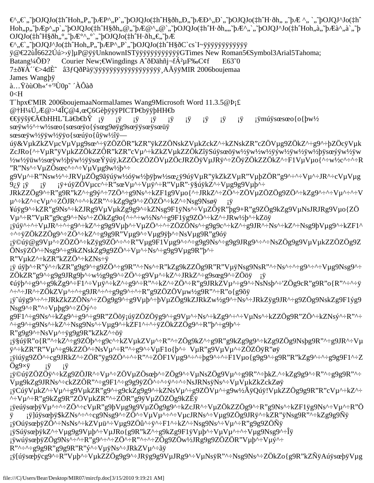$\mathcal{E}, \mathcal{E}, \mathcal{F}$ bOJQJo( $\sharp$ h $\check{\uparrow}$ Hoh,,P, $\check{\uparrow}$ þÆP $\check{\uparrow}$ ,P $\check{\uparrow}$ , $\check{\uparrow}$ bOJQJo( $\sharp$ h $\check{\uparrow}$ H§ðh,,Đ, $\check{\uparrow}$ þÆÐ $\check{\uparrow}$ ,D $\check{\uparrow}$ , $\check{\uparrow}$ bOJQJ $\check{\uparrow}$ U $\check{\uparrow}$ n $\check{\uparrow}$   $\check{\uparrow}$ Hoh,,p,,~pÆp^,,p`,,~pOJQJo(‡h^H§ðh,,@,,~pÆ@^,,@`,,~pOJQJo(‡h^H·ðh,,,,~pÆ^,`,,~pOJQJ^Jo(‡h^Hoh,,à,,~pÆà^,,à`,,~p OJQJo(‡h^H§ðh,,°,,~pư^,,°`,,~pOJQJo(‡h^H·ðh,,€,~pÆ  $\mathcal{E}, \mathcal{E}, \widetilde{\mathcal{E}}$   $\sim$   $\mathcal{E}$   $\sim$   $\mathcal{E}$   $\sim$   $\mathcal{E}$   $\sim$   $\mathcal{E}$   $\sim$   $\mathcal{E}$   $\sim$   $\mathcal{E}$   $\sim$   $\mathcal{E}$   $\sim$   $\mathcal{E}$   $\sim$   $\sim$   $\mathcal{E}$   $\sim$   $\sim$   $\mathcal{E}$   $\sim$   $\sim$   $\mathcal{E}$   $\sim$   $\sim$   $\mathcal{E}$   $\sim$   $\sim$ ÿ@€22ùÎ6622Úú>›ÿ]µP@ÿÿUnknownISTÿÿÿÿÿÿÿÿÿÿÿÿGTimes New Roman5€Symbol3Arial5Tahoma; Batang¼OĐ? Courier New; 
eWingdings A^ðÐähñj¬fÁ<sup>2</sup>µF‰C¢f E63<sup>∼</sup>0 7±ð¥Á´´€>4dĖ~ â3ƒQðPàÿ¦ÿÿÿÿÿÿÿÿÿÿyÿÿÿÿyÿyyyyy¥y,AÄÿÿMIR 2006boujemaa James Wangþÿ à…ŸòùOh«'+'³Ù0p˜ ´ÀÔàð  $0<$ H T`hpx€MIR 2006boujemaaNormalJames Wang9Microsoft Word 11.3.5@Þ¡£ @†H¼Ú,Æ@><sup>1</sup>4ÎÇ@4,œÇ6GèþÿÿÿPICTÞ€bÿÿþHH€b €€ÿÿšÿ€Ä€bHHL˜Lä€b€bŸ ¡ÿ ¡ÿ ¡ÿ ¡ÿ ¡ÿ ¡ÿ ¡ÿ ¡ÿ ¡ÿ ¡ÿmúÿsœsœo{o{þw½ sœÿw½^÷w½sœo{sœsœÿo{ýsœg9øÿg9sœÿÿsœÿsœüÿ sœsœÿw½ÿÿw½ÿÿo{sœúÿo{ûÿw½îÿ úÿ&VµkZkZVµcVµVµg9sœ^÷ÿZÖZÖR"kZR"ÿkZZÖNskZVµkZckZ^÷kZNskZR"cZÖVµg9ZÖkZ^÷g9^÷þZÖcÿVµk ZcJRo{^÷VµR"ÿVµkZZÖkZZÖR"kZR"cVµ^÷kZkZVµkZZÖkZîÿSúÿsœöÿw½ÿw½w½ÿýw½ÿw½ÿw½þÿsœýÿw½ÿw ½w½ÿüw½sœÿw½þÿw½ÿÿsœÝÿúÿ,kZZÖcZÖZÖVµZÖcJRZÖÿVµJRÿ^÷ZÖÿZÖkZZÖkZ^÷F1VµVµo{^÷w½c^÷^÷R "R"Ns^÷VµZÖsœc^÷^÷VµVµg9w½þ^÷ g9Vµ^÷R"Nsw½^÷JRVµZÖg9ãÿúÿw½óÿw½þÿþw½sœ¿ÿ9úÿVµR"ÿkZkZVµR"VµþZÖR"g9^÷^÷Vµ^÷JR^÷cVµVµg 9¿ÿ ¡ÿ ¡ÿ ¡ÿ+úÿZÖVµcc^÷R"sœVµ^÷Vµÿ^÷R"VµR"·ÿ§úÿkZ^÷Vµg9g9Vµþ^÷ JRkZZÖg9^÷R"g9R"kZ^÷g9ý^÷7ZÖ^÷g9Ns^÷kZF1g9Vµo{^÷JRkZ^÷ZÖ^÷ZÖVµZÖZÖg9ZÖ^÷kZg9^÷^÷Vµ^÷^÷V µ^÷kZ^÷cVµ^÷ZÖJR^÷^÷kZR"^÷kZg9g9^÷ZÖZÖ^÷kZ^÷Nsg9Nsøÿ ¡ÿ ¥úÿg9^÷kZR"g9Ns^÷kZJRg9VµVµkZg9g9^÷kZNsg9F1ÿNs^÷VµZÖÿR"þg9+R"g9ZÖg9kZg9VµNsJRJRg9Vµo{ZÖ Vµ^÷R"VµR"g9cg9^÷Ns^÷ZÖkZg9o{^÷^÷w½Ns^÷g9F1ÿg9ZÖ^÷kZ^÷JRw½þ^÷kZöÿ ¡ÿúÿ^÷^÷VµJR^÷^÷g9^÷kZ^÷g9g9Vµþ^÷VµZÖ^÷^÷ZÖZÖNs^÷g9g9c^÷kZ^÷g9JR^÷Ns^÷kZ^÷Nsg9þVµg9^÷kZF1^ ÷^÷ÿZÖkZZÖg9^÷ZÖ^÷kZ^÷g9g9R"Vµg9^÷Vµg9ÿþ^÷NsVµg9R"g9óÿ ¡ÿ©úÿ@g9Vµ^÷ZÖZÖ^÷kZÿg9ZÖ^÷^÷R"Vµg9F1Vµg9^÷^÷g9g9Ns^÷g9g9JRg9^÷^÷NsZÖg9g9VµVµkZZÖZÖg9Z ÖNsÿZÖ^÷Nsg9^÷g9kZNskZg9g9ZÖ^÷Vµ^÷Ns^÷g9g9Vµg9R"þ^÷ R"VµkZ^÷kZR"kZZÖ^÷kZNs÷ÿ ¡ÿ úÿþ^÷R"ý^÷/kZR"g9g9^÷g9ZÖ^÷g9R"^÷Ns^÷R"kZg9kZZÖg9R"R"VµÿNsg9NsR"^÷Ns^÷^÷g9^÷^÷Vµg9Nsg9^÷ ZÖkZR"g9^÷g9g9JRg9þ^÷w½g9g9^÷ZÖ^÷g9Vµ^÷kZ^÷JRkZ^÷g9sœg9^÷ZÖöÿ ¡ÿ ¢úÿþ^÷g9^÷g9kZg9^÷F1^÷Vµÿ^÷kZ^÷g9^÷R"^÷kZ^÷ZÖ^÷R"g9JRkZVµ^÷g9^÷NsNsþ^÷'ZÖg9cR"g9R"o{R"^÷^÷ÿ ^÷^÷JR^÷ZÖkZVµ^÷^÷g9JR^÷^÷g9g9^÷^÷R"g9ZÖZÖVµw½g9R"^÷R"o{g9õÿ ¡ÿ˜úÿg9^÷^÷JRkZkZZÖNs^÷ZÖg9g9^÷g9Vµþ^÷þVµZÖg9kZJRkZw½g9^÷Ns^÷JRkZÿg9JR^÷g9ZÖg9NskZg9F1ýg9 Nsg9^÷R"^÷Vµþg9^÷ZÖý^÷ g9F1^÷g9Ns^÷kZg9^÷g9^÷g9R"ZÖõÿ¡úÿZÖZÖÿg9^÷g9Vµ^÷Ns^÷kZg9^÷^÷VµNs^÷kZZÖg9R"ZÖ^÷kZNsý^÷R"^÷ ^÷g9^÷g9Ns^÷kZ^÷Nsg9Ns^÷Vµg9^÷kZF1^÷^÷ÿZÖkZZÖg9^÷R"þ^÷g9þ^÷ R"g9g9^÷NsVµ^÷ÿg9g9R"kZkZ^÷öÿ ¡ÿ§úÿR"o{R"^÷kZ^÷g9ZÖþ^÷g9c^÷kZVµkZVµ^÷R"^÷ZÖg9kZ^÷g9R"g9kZg9g9^÷kZg9ZÖg9Nsþg9R"^÷g9JR^÷Vµ ÿ^÷kZR"R"Vµ^÷g9kZZÖ^÷NsVµ^÷R"^÷g9^÷VµF1o{þ^÷ VµR"g9VµVµ^÷ZÖZÖÿR"øÿ ¡ÿiúÿg9ZÖ^÷cg9JRkZ^÷ZÖR"ÿg9ZÖ^÷^÷R"^÷ZÖF1Vµg9^÷^÷þg9^÷^÷F1Vµo{g9g9^÷g9R"R"kZg9^÷^÷g9g9F1^÷Z  $\text{Og9} \times \text{y}$   $\text{i} \text{y}$   $\text{i} \text{y}$ ¡ÿ©úÿZÖZÖÿ^÷kZg9ZÖJR^÷Vµ^÷ZÖVµZÖsœþ^÷ZÖg9^÷VµNsZÖg9Vµ^÷g9R"^÷þkZ.^÷kZg9g9^÷R"^÷g9g9R"^÷ Vµg9kZg9JRNs^÷ckZZÖR"^÷g9F1^÷g9g9ÿZÖ^÷^÷ÿ^÷^÷NsJRNsÿNs^÷VµVµkZkZckZøÿ ¡ÿCúÿVµkZ^÷Vµ^÷g9VµkZR"g9^÷g9ckZg9g9^÷kZNsVµ^÷g9ZÖVµ^÷g9w½ÃÿQúÿ!VµkZZÖg9g9R"R"cVµ^÷kZ^÷ ^÷Vµ^÷R"g9kZg9R"ZÖVµkZR"^÷ZÖR"g9ÿVµZÖZÖg9kZÊÿ ¡ÿeúÿsœþÿVµ^÷^÷ZÖ^÷cVµR"g9þVµg9g9VµZÖg9g9^÷kZcJR^÷VµZÖkZZÖg9^÷R"g9Ns^÷kZF1ÿg9Ns^÷Vµ^÷R"Ö ÿ ¡ÿ]úÿsœþÿ\$kZNs^÷^÷cg9Nsg9^÷ZÖ^÷VµVµ^÷^÷VµcJRNs^÷Vµg9ZÖg9JRÿ^÷kZR"ÿNsg9R"^÷kZg9g9Ñÿ ¡ÿOúÿsœþÿZÖ^÷NsNs^÷kZVµü^÷Vµg9ZÖû^÷ÿ^÷F1^÷kZ^÷Nsg9Ns^÷Vµ^÷R"g9g9ZÖÑÿ ¡ÿSúÿsœþÿkZ^÷Vµg9g9Vµþ^÷VµJRo{g9R"kZ^÷g9kZg9F1ÿVµþ^÷VµVµ^÷^÷Vµg9Nsg9^÷Îÿ ¡ÿwúÿsœþÿZÖg9Ns^÷^÷R"g9^÷^÷ZÖ^÷R"^÷^÷ZÖg9ZÖw½JRg9g9ZÖZÖR"Vµþ^÷Vµý^÷ R"^÷^÷g9g9R"g9g9R"R"ý^÷VµÿNs^÷JRkZVµ^÷ãÿ ¡ÿ[úÿsœþÿcg9^÷R"Vµþ^÷VµkZZÖg9g9^÷JRÿg9g9VµJRg9^÷VµNsÿR"^÷Nsg9Ns^÷ZÖkZo{g9R"kZÑÿAúÿsœþÿVµg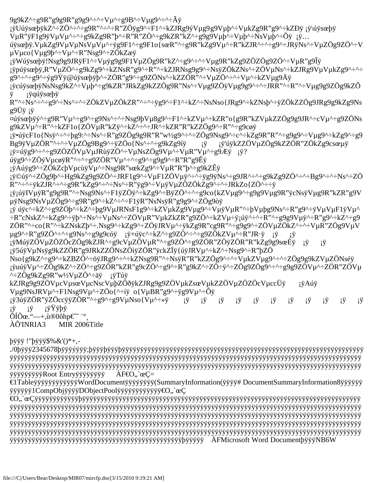```
¡ÿpúÿsœþÿ,R"VµZÖ^÷g9kZg9^÷kZNsR"g9^÷R"^÷kZJRNsg9g9^÷NsÿZÖkZNs^÷ZÖVµNs^÷kZJRg9VµVµkZg9^÷^÷
g9^÷^÷g9^÷ýg9Ýÿ@úÿsœþÿþ^÷ZÖR"g9^÷g9ZÖNs^÷kZZÖR"^÷VµZÖ^÷^÷Vµ^÷kZVµg9Äÿ 
¡ÿcúÿsœþÿNsNsg9kZ^÷Vµþ^÷g9kZR"JRkZg9kZZÖg9R"Ns^÷Vµg9ZÖÿVµg9g9^÷^÷JRR"^÷R"^÷Vµg9g9ZÖg9kZÕ
ÿ ¡ÿqúÿsœþÿ 
R"^÷Ns^÷^÷g9^÷Ns^÷^÷ZÖkZVµZÖkZR"^÷^÷ÿg9^÷F1^÷kZ^÷NsNso{JRg9^÷kZNsþ^÷ÿZÖkZZÖg9JRg9g9kZg9Ns
g9Üÿ ¡ÿ
¤úÿsœþÿý^÷g9R"Vµ^÷g9^÷g9Ns^÷^÷Nsg9þVµ8g9^÷F1^÷kZVµ^÷kZR"o{g9R"kZVµkZZÖg9g9JR^÷cVµ^÷g9ZÖNs
g9kZVµ^÷R"^÷kZF1o{ZÖVµR"kZÿ^÷kZ^÷^÷JR^÷kZR"R"kZZÖg9^÷R"^÷g9cøÿ 
¡ÿ•úÿcF1o{Nsÿ^÷^÷þg9:^÷Ns^÷R"g9ZÖg9g9R"R"w½g9^÷^÷ZÖg9Nsg9^÷c^÷kZg9R"R"^÷g9g9^÷Vµg9^÷kZg9^÷g9
Bg9ÿVµZÖR"^÷^÷VµZÖg9Bg9^÷ÿZÖo{Ns^÷^÷g9kZg9íÿ ¡ÿ ¡ÿ'úÿkZZÖVµZÖg9kZZÖR"ZÖkZg9csœµÿ 
¡ÿ=úÿg9^÷^÷g9ZÖZÖVµVµJRùÿZÖ^÷VµNsZÖg9Vµ^÷VµR"Vµ^÷g9Æÿ ¡ÿ?
úÿg9^÷ZÖýVµcøÿR"^÷^÷g9ZÖR"Vµ^÷^÷g9^÷g9g9^÷R"R"g9Êÿ 
¡ÿAúÿg9^÷ZÖkZcþVµcùÿVµ^÷Nsg9R"sœkZg9^÷VµR"R"þ^÷g9kZÊÿ 
¡ÿ©úÿ^÷ZÖg9þ^÷Hg9kZg9g9ZÖ^÷JRF1g9^÷VµF1ZÖVµÿ^÷^÷ÿg9ÿNs^÷g9JR^÷^÷g9kZg9ZÖ^÷^÷Bg9^÷^÷Ns^÷ZÖ
R"^÷^÷ÿkZJR^÷^÷g9R"kZg9^÷^÷Ns^÷R"ÿg9^÷VµÿVµZÖZÖkZg9^÷^÷JRkZo{ZÖ^÷÷ÿ 
¡ÿ¡úÿIVµÿR"g9g9R"^÷Nsg9Ns^÷F1ÿZÖÿ^÷kZg9^÷BÿZÖ^÷^÷g9co{kZVµg9^÷g9g9Vµg9R"ÿcNsÿVµg9R"kZR"g9V
µÿNsg9NsVµZÖg9^÷g9R"g9^÷kZ^÷^÷F1ÿR"NsNsÿR"g9g9^÷ZÖg9òÿ 
¡ÿ úÿc^÷kZ^÷g9ZÖþ^÷kZ^÷þg9VµJRNsF1g9^÷kZVµkZg9Vµg9^÷VµÿVµR"^÷þVµþg9Ns^÷R"g9^÷ÿVµVµF1ÿVµ^
÷R"cNskZ^÷kZg9^÷ÿþ^÷Ns^÷VµNs^÷ZÖVµR"VµkZkZR"g9ZÖ^÷kZVµ÷ÿ¡úÿ^÷^÷R"^÷g9g9Vµÿ^÷R"g9^÷kZ^÷g9
ZÖR"^÷co{R"^÷kZNskZþ^÷.Nsg9^÷kZg9^÷ZÖÿJRVµ^÷ÿkZg9R"cg9R"^÷g9g9^÷ZÖVµZÖkZ^÷^÷VµR"ZÖg9VµV
µg9^÷R"g9ZÖ^÷^÷g9Ns^÷g9g9cóÿ ¡ÿ+úÿc^÷kZ^÷g9ZÖ^÷^÷g9ZÖkZVµ^÷R"JR·ÿ ¡ÿ ¡ÿ 
¡ÿMúÿZÖVµZÖZÖcZÖg9kZJR^÷g9cVµZÖVµR"^÷g9ZÖ^÷g9ZÖR"ZÖÿZÖR"R"kZg9g9sœÈÿ ¡ÿ ¡ÿ 
¡ÿ5úÿVµNsÿg9kZZÖR"g9JRkZZÖNsZÖìÿZÖR"ÿckZÏÿ{úÿJRVµ^÷kZ^÷Nsg9^÷R"þZÖ
Nso{g9kZ^÷g9^÷kZBZÖ^÷öÿJRg9^÷^÷kZNsg9R"^÷NsÿR"R"kZZÖg9^÷^÷VµkZVµg9^÷^÷ZÖg9g9kZVµZÖNséÿ 
¡ÿuúÿVµ^÷ZÖg9kZ^÷ZÖ^÷g9ZÖR"kZR"g9cZÖ^÷g9^÷R"g9kZ^÷ZÖ÷ÿ^÷ZÖg9ZÖg9^÷^÷g9g9ZÖVµ^÷ZÖR"ZÖVµ
^÷ZÖg9kZg9R"w½VµZÖ^÷äÿ ¡ÿTúÿ
kZJRg9g9ZÖVµcVµsœVµcNscVµþZÖðÿkZJRg9g9ZÖVµkZsœVµkZZÖVµZÖZÖcVµccÜÿ ¡ÿAúÿ
Vµg9NsJRVµ^÷F1Nsg9Vµ^÷ZÖo{^÷íÿ o{VµBR"g9^÷ÿg9Vµ^÷Ôÿ 
¡ÿ3úÿZÖR"ÿZÖccÿÿZÖR"^÷g9^÷g9VµNso{Vµ^÷»ÿ ¡ÿ ¡ÿ ¡ÿ ¡ÿ ¡ÿ ¡ÿ ¡ÿ ¡ÿ ¡ÿ ¡ÿ ¡ÿ 
i\ddot{y} i\ddot{y} i\ddot{y}\dot{Y}\ddot{y}þ\ddot{y}\tilde{\mathrm{O}}Í\tilde{\mathrm{O}}œ."—+,ù®0ôhp\boldsymbol{\epsilon}~^\circÀÕ'INRIA3 MIR 2006Title 
þÿÿÿ !"þÿÿÿ$%&'()*+,-
./0þÿÿÿ2345678þÿÿÿýÿÿÿ;þÿÿÿþÿÿÿþÿÿÿÿÿÿÿÿÿÿÿÿÿÿÿÿÿÿÿÿÿÿÿÿÿÿÿÿÿÿÿÿÿÿÿÿÿÿÿÿÿÿÿÿÿÿÿÿÿÿÿÿÿÿÿÿÿÿÿÿÿÿÿÿÿÿ
ÿÿÿÿÿÿÿÿÿÿÿÿÿÿÿÿÿÿÿÿÿÿÿÿÿÿÿÿÿÿÿÿÿÿÿÿÿÿÿÿÿÿÿÿÿÿÿÿÿÿÿÿÿÿÿÿÿÿÿÿÿÿÿÿÿÿÿÿÿÿÿÿÿÿÿÿÿÿÿÿÿÿÿÿÿÿÿÿÿÿÿÿÿÿÿÿ
ÿÿÿÿÿÿÿÿÿÿÿÿÿÿÿÿÿÿÿÿÿÿÿÿÿÿÿÿÿÿÿÿÿÿÿÿÿÿÿÿÿÿÿÿÿÿÿÿÿÿÿÿÿÿÿÿÿÿÿÿÿÿÿÿÿÿÿÿÿÿÿÿÿÿÿÿÿÿÿÿÿÿÿÿÿÿÿÿÿÿÿÿÿÿÿÿ
\gammayyyyyyyykoot Entryyyyyyyyy\overline{X} AF\Theta, `ς=
€1TableÿÿÿÿÿÿÿÿÿÿÿÿWordDocumentÿÿÿÿÿÿÿÿ(SummaryInformation(ÿÿÿÿ# DocumentSummaryInformation8ÿÿÿÿÿÿ
yyyyyy'l\mathop{\mathrm{CompObj}}\nolimitsyyyyyyyyyyyyyyy\mathop{\mathrm{SO}}\nolimits,`œ\mathop{\mathrm{C}}\nolimits
```
¡ÿUúÿsœþÿkZ^÷ZÖ^÷^÷g9R"^÷^÷R"ZÖÿg9^÷F1^÷kZJRg9ýVµg9g9Vµþ^÷VµkZg9R"g9^÷kZÐÿ ¡ÿ\úÿsœþÿ

úÿsœþÿ.VµkZg9VµVµNsVµVµ^÷ÿg9F1^÷g9F1o{sœR"^÷g9R"kZg9Vµ^÷R"kZJR^÷^÷g9^÷JRÿNs^÷VµZÖg9ZÖ^÷V

VµR"ÿF1g9ÿVµVµ^÷^÷g9kZg9R"þ^÷R"R"ZÖ^÷g9kZR"kZ^÷g9g9Vµþ^÷Vµþ^÷NsVµþ^÷Õÿ ¡ÿ…

¡ÿWúÿsœþÿ!Nsg9g9JRÿF1^÷Vµÿg9g9F1VµZÖg9R"kZ^÷g9^÷^÷Vµg9R"kZg9ZÖZÖg9ZÖ^÷VµR"g9Îÿ

€O"`œÇÿÿÿÿÿÿÿÿÿÿÿÿþÿÿÿÿÿÿÿÿÿÿÿÿÿÿÿÿÿÿÿÿÿÿÿÿÿÿÿÿÿÿÿÿÿÿÿÿÿÿÿÿÿÿÿÿÿÿÿÿÿÿÿÿÿÿÿÿÿÿÿÿÿÿÿÿÿÿÿÿÿÿÿÿÿÿÿÿ ÿÿÿÿÿÿÿÿÿÿÿÿÿÿÿÿÿÿÿÿÿÿÿÿÿÿÿÿÿÿÿÿÿÿÿÿÿÿÿÿÿÿÿÿÿÿÿÿÿÿÿÿÿÿÿÿÿÿÿÿÿÿÿÿÿÿÿÿÿÿÿÿÿÿÿÿÿÿÿÿÿÿÿÿÿÿÿÿÿÿÿÿÿÿÿÿ ÿÿÿÿÿÿÿÿÿÿÿÿÿÿÿÿÿÿÿÿÿÿÿÿÿÿÿÿÿÿÿÿÿÿÿÿÿÿÿÿÿÿÿÿÿÿÿÿÿÿÿÿÿÿÿÿÿÿÿÿÿÿÿÿÿÿÿÿÿÿÿÿÿÿÿÿÿÿÿÿÿÿÿÿÿÿÿÿÿÿÿÿÿÿÿÿ ÿÿÿÿÿÿÿÿÿÿÿÿÿÿÿÿÿÿÿÿÿÿÿÿÿÿÿÿÿÿÿÿÿÿÿÿÿÿÿÿÿÿÿÿÿÿÿÿÿÿÿÿÿÿÿÿÿÿÿÿÿÿÿÿÿÿÿÿÿÿÿÿÿÿÿÿÿÿÿÿÿÿÿÿÿÿÿÿÿÿÿÿÿÿÿÿ ÿÿÿÿÿÿÿÿÿÿÿÿÿÿÿÿÿÿÿÿÿÿÿÿÿÿÿÿÿÿÿÿÿÿÿÿÿÿÿÿÿÿÿÿÿÿÿÿÿÿÿÿÿÿÿÿÿÿÿÿÿÿÿÿÿÿÿÿÿÿÿÿÿÿÿÿÿÿÿÿÿÿÿÿÿÿÿÿÿÿÿÿÿÿÿÿ ÿÿÿÿÿÿÿÿÿÿÿÿÿÿÿÿÿÿÿÿÿÿÿÿÿÿÿÿÿÿÿÿÿÿÿÿÿÿÿÿÿÿÿÿÿÿÿþÿÿÿÿÿ ÀFMicrosoft Word DocumentþÿÿÿNB6W

9g9kZ^÷g9R"g9g9R"g9g9^÷^÷Vµ^÷g9B^÷Vµg9^÷^÷Ãÿ

µVµco{Vµg9þ^÷Vµ^÷R"Nsg9^÷ZÖkZæÿ